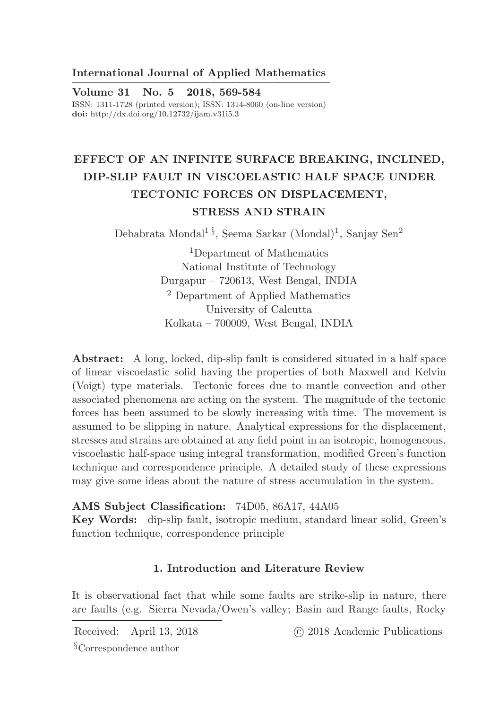## International Journal of Applied Mathematics ————————————————————–

Volume 31 No. 5 2018, 569-584 ISSN: 1311-1728 (printed version); ISSN: 1314-8060 (on-line version) doi: http://dx.doi.org/10.12732/ijam.v31i5.3

# EFFECT OF AN INFINITE SURFACE BREAKING, INCLINED, DIP-SLIP FAULT IN VISCOELASTIC HALF SPACE UNDER TECTONIC FORCES ON DISPLACEMENT, STRESS AND STRAIN

Debabrata Mondal<sup>1§</sup>, Seema Sarkar (Mondal)<sup>1</sup>, Sanjay Sen<sup>2</sup>

<sup>1</sup>Department of Mathematics National Institute of Technology Durgapur – 720613, West Bengal, INDIA <sup>2</sup> Department of Applied Mathematics University of Calcutta Kolkata – 700009, West Bengal, INDIA

Abstract: A long, locked, dip-slip fault is considered situated in a half space of linear viscoelastic solid having the properties of both Maxwell and Kelvin (Voigt) type materials. Tectonic forces due to mantle convection and other associated phenomena are acting on the system. The magnitude of the tectonic forces has been assumed to be slowly increasing with time. The movement is assumed to be slipping in nature. Analytical expressions for the displacement, stresses and strains are obtained at any field point in an isotropic, homogeneous, viscoelastic half-space using integral transformation, modified Green's function technique and correspondence principle. A detailed study of these expressions may give some ideas about the nature of stress accumulation in the system.

AMS Subject Classification: 74D05, 86A17, 44A05

Key Words: dip-slip fault, isotropic medium, standard linear solid, Green's function technique, correspondence principle

## 1. Introduction and Literature Review

It is observational fact that while some faults are strike-slip in nature, there are faults (e.g. Sierra Nevada/Owen's valley; Basin and Range faults, Rocky

Received: April 13, 2018 (C) 2018 Academic Publications

§Correspondence author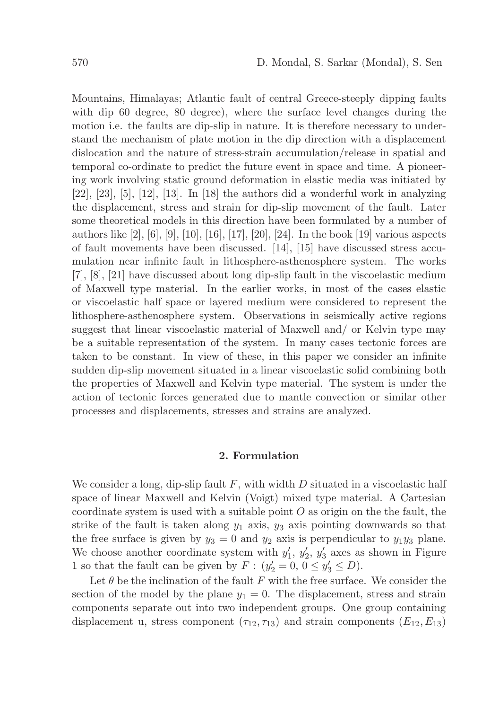Mountains, Himalayas; Atlantic fault of central Greece-steeply dipping faults with dip 60 degree, 80 degree), where the surface level changes during the motion i.e. the faults are dip-slip in nature. It is therefore necessary to understand the mechanism of plate motion in the dip direction with a displacement dislocation and the nature of stress-strain accumulation/release in spatial and temporal co-ordinate to predict the future event in space and time. A pioneering work involving static ground deformation in elastic media was initiated by  $[22]$ ,  $[23]$ ,  $[5]$ ,  $[12]$ ,  $[13]$ . In  $[18]$  the authors did a wonderful work in analyzing the displacement, stress and strain for dip-slip movement of the fault. Later some theoretical models in this direction have been formulated by a number of authors like [2], [6], [9], [10], [16], [17], [20], [24]. In the book [19] various aspects of fault movements have been discussed. [14], [15] have discussed stress accumulation near infinite fault in lithosphere-asthenosphere system. The works [7], [8], [21] have discussed about long dip-slip fault in the viscoelastic medium of Maxwell type material. In the earlier works, in most of the cases elastic or viscoelastic half space or layered medium were considered to represent the lithosphere-asthenosphere system. Observations in seismically active regions suggest that linear viscoelastic material of Maxwell and/ or Kelvin type may be a suitable representation of the system. In many cases tectonic forces are taken to be constant. In view of these, in this paper we consider an infinite sudden dip-slip movement situated in a linear viscoelastic solid combining both the properties of Maxwell and Kelvin type material. The system is under the action of tectonic forces generated due to mantle convection or similar other processes and displacements, stresses and strains are analyzed.

#### 2. Formulation

We consider a long, dip-slip fault  $F$ , with width  $D$  situated in a viscoelastic half space of linear Maxwell and Kelvin (Voigt) mixed type material. A Cartesian coordinate system is used with a suitable point  $O$  as origin on the the fault, the strike of the fault is taken along  $y_1$  axis,  $y_3$  axis pointing downwards so that the free surface is given by  $y_3 = 0$  and  $y_2$  axis is perpendicular to  $y_1y_3$  plane. We choose another coordinate system with  $y'_1, y'_2, y'_3$  axes as shown in Figure 1 so that the fault can be given by  $F: (y_2' = 0, 0 \le y_3' \le D)$ .

Let  $\theta$  be the inclination of the fault F with the free surface. We consider the section of the model by the plane  $y_1 = 0$ . The displacement, stress and strain components separate out into two independent groups. One group containing displacement u, stress component  $(\tau_{12}, \tau_{13})$  and strain components  $(E_{12}, E_{13})$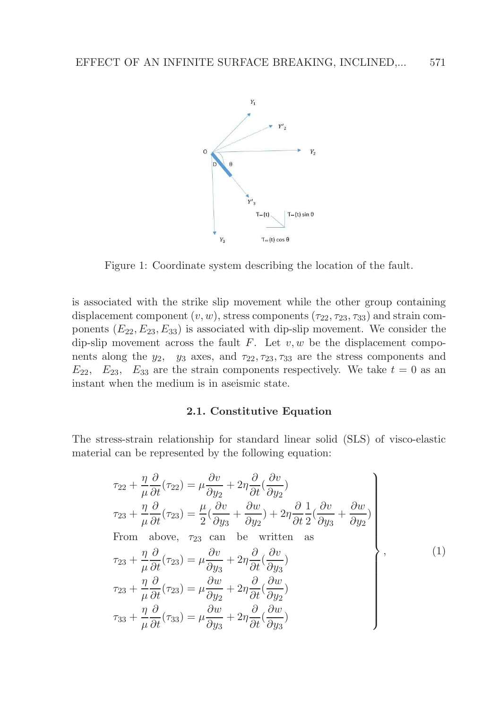

Figure 1: Coordinate system describing the location of the fault.

is associated with the strike slip movement while the other group containing displacement component  $(v, w)$ , stress components  $(\tau_{22}, \tau_{23}, \tau_{33})$  and strain components  $(E_{22}, E_{23}, E_{33})$  is associated with dip-slip movement. We consider the dip-slip movement across the fault  $F$ . Let  $v, w$  be the displacement components along the  $y_2$ ,  $y_3$  axes, and  $\tau_{22}, \tau_{23}, \tau_{33}$  are the stress components and  $E_{22}$ ,  $E_{23}$ ,  $E_{33}$  are the strain components respectively. We take  $t = 0$  as an instant when the medium is in aseismic state.

## 2.1. Constitutive Equation

The stress-strain relationship for standard linear solid (SLS) of visco-elastic material can be represented by the following equation:

$$
\tau_{22} + \frac{\eta}{\mu} \frac{\partial}{\partial t} (\tau_{22}) = \mu \frac{\partial v}{\partial y_2} + 2\eta \frac{\partial}{\partial t} (\frac{\partial v}{\partial y_2})
$$
\n
$$
\tau_{23} + \frac{\eta}{\mu} \frac{\partial}{\partial t} (\tau_{23}) = \frac{\mu}{2} (\frac{\partial v}{\partial y_3} + \frac{\partial w}{\partial y_2}) + 2\eta \frac{\partial}{\partial t} \frac{1}{2} (\frac{\partial v}{\partial y_3} + \frac{\partial w}{\partial y_2})
$$
\nFrom above,  $\tau_{23}$  can be written as\n
$$
\tau_{23} + \frac{\eta}{\mu} \frac{\partial}{\partial t} (\tau_{23}) = \mu \frac{\partial v}{\partial y_3} + 2\eta \frac{\partial}{\partial t} (\frac{\partial v}{\partial y_3})
$$
\n
$$
\tau_{23} + \frac{\eta}{\mu} \frac{\partial}{\partial t} (\tau_{23}) = \mu \frac{\partial w}{\partial y_2} + 2\eta \frac{\partial}{\partial t} (\frac{\partial w}{\partial y_2})
$$
\n
$$
\tau_{33} + \frac{\eta}{\mu} \frac{\partial}{\partial t} (\tau_{33}) = \mu \frac{\partial w}{\partial y_3} + 2\eta \frac{\partial}{\partial t} (\frac{\partial w}{\partial y_3})
$$
\n(1)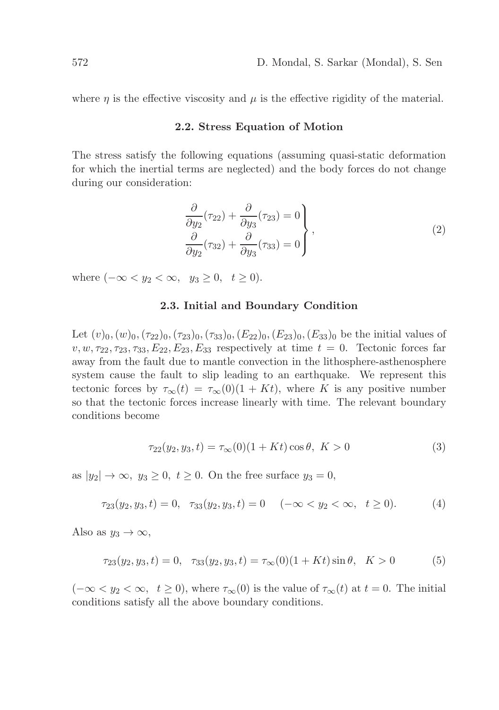where  $\eta$  is the effective viscosity and  $\mu$  is the effective rigidity of the material.

#### 2.2. Stress Equation of Motion

The stress satisfy the following equations (assuming quasi-static deformation for which the inertial terms are neglected) and the body forces do not change during our consideration:

$$
\frac{\partial}{\partial y_2}(\tau_{22}) + \frac{\partial}{\partial y_3}(\tau_{23}) = 0
$$
\n
$$
\frac{\partial}{\partial y_2}(\tau_{32}) + \frac{\partial}{\partial y_3}(\tau_{33}) = 0
$$
\n(2)

where  $(-\infty < y_2 < \infty, y_3 \geq 0, t \geq 0)$ .

## 2.3. Initial and Boundary Condition

Let  $(v)_0,(w)_0,(\tau_{22})_0,(\tau_{23})_0,(\tau_{33})_0,(E_{22})_0,(E_{23})_0, (E_{33})_0$  be the initial values of  $v, w, \tau_{22}, \tau_{23}, \tau_{33}, E_{22}, E_{23}, E_{33}$  respectively at time  $t = 0$ . Tectonic forces far away from the fault due to mantle convection in the lithosphere-asthenosphere system cause the fault to slip leading to an earthquake. We represent this tectonic forces by  $\tau_{\infty}(t) = \tau_{\infty}(0)(1+Kt)$ , where K is any positive number so that the tectonic forces increase linearly with time. The relevant boundary conditions become

$$
\tau_{22}(y_2, y_3, t) = \tau_{\infty}(0)(1 + Kt)\cos\theta, \ K > 0 \tag{3}
$$

as  $|y_2| \to \infty$ ,  $y_3 \geq 0$ ,  $t \geq 0$ . On the free surface  $y_3 = 0$ ,

$$
\tau_{23}(y_2, y_3, t) = 0, \quad \tau_{33}(y_2, y_3, t) = 0 \quad (-\infty < y_2 < \infty, \quad t \ge 0). \tag{4}
$$

Also as  $y_3 \to \infty$ ,

$$
\tau_{23}(y_2, y_3, t) = 0, \quad \tau_{33}(y_2, y_3, t) = \tau_{\infty}(0)(1 + Kt)\sin\theta, \quad K > 0 \tag{5}
$$

 $(-\infty < y_2 < \infty, t \ge 0)$ , where  $\tau_{\infty}(0)$  is the value of  $\tau_{\infty}(t)$  at  $t = 0$ . The initial conditions satisfy all the above boundary conditions.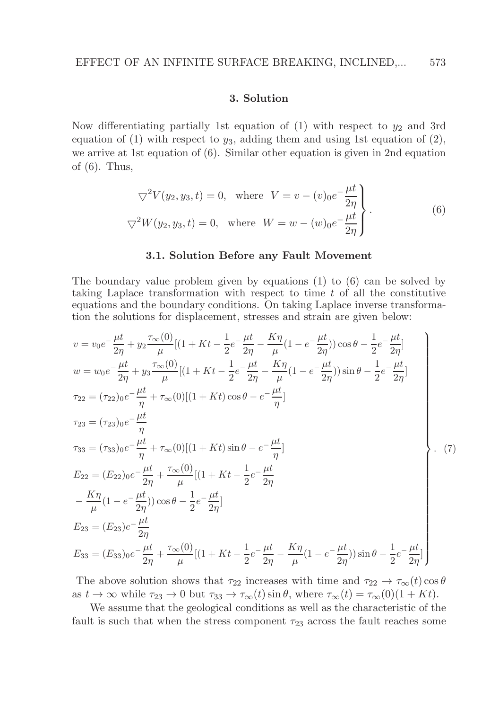## 3. Solution

Now differentiating partially 1st equation of (1) with respect to  $y_2$  and 3rd equation of (1) with respect to  $y_3$ , adding them and using 1st equation of (2), we arrive at 1st equation of (6). Similar other equation is given in 2nd equation of  $(6)$ . Thus,

$$
\nabla^2 V(y_2, y_3, t) = 0, \text{ where } V = v - (v)_0 e^{-\frac{\mu t}{2\eta}} \Bigg\}.
$$
  

$$
\nabla^2 W(y_2, y_3, t) = 0, \text{ where } W = w - (w)_0 e^{-\frac{\mu t}{2\eta}}.
$$
 (6)

#### 3.1. Solution Before any Fault Movement

The boundary value problem given by equations (1) to (6) can be solved by taking Laplace transformation with respect to time  $t$  of all the constitutive equations and the boundary conditions. On taking Laplace inverse transformation the solutions for displacement, stresses and strain are given below:

$$
v = v_0 e^{-\frac{\mu t}{2\eta}} + y_2 \frac{\tau_{\infty}(0)}{\mu} [(1 + Kt - \frac{1}{2}e^{-\frac{\mu t}{2\eta}} - \frac{K\eta}{\mu}(1 - e^{-\frac{\mu t}{2\eta}}))\cos\theta - \frac{1}{2}e^{-\frac{\mu t}{2\eta}}]
$$
  
\n
$$
w = w_0 e^{-\frac{\mu t}{2\eta}} + y_3 \frac{\tau_{\infty}(0)}{\mu} [(1 + Kt - \frac{1}{2}e^{-\frac{\mu t}{2\eta}} - \frac{K\eta}{\mu}(1 - e^{-\frac{\mu t}{2\eta}}))\sin\theta - \frac{1}{2}e^{-\frac{\mu t}{2\eta}}]
$$
  
\n
$$
\tau_{22} = (\tau_{22})_0 e^{-\frac{\mu t}{\eta}} + \tau_{\infty}(0)[(1 + Kt)\cos\theta - e^{-\frac{\mu t}{\eta}}]
$$
  
\n
$$
\tau_{33} = (\tau_{33})_0 e^{-\frac{\mu t}{\eta}} + \tau_{\infty}(0)[(1 + Kt)\sin\theta - e^{-\frac{\mu t}{\eta}}]
$$
  
\n
$$
E_{22} = (E_{22})_0 e^{-\frac{\mu t}{2\eta}} + \tau_{\infty}(0)[(1 + Kt - \frac{1}{2}e^{-\frac{\mu t}{2\eta}}]
$$
  
\n
$$
-\frac{K\eta}{\mu}(1 - e^{-\frac{\mu t}{2\eta}}))\cos\theta - \frac{1}{2}e^{-\frac{\mu t}{2\eta}}]
$$
  
\n
$$
E_{23} = (E_{23})e^{-\frac{\mu t}{2\eta}}
$$
  
\n
$$
E_{33} = (E_{33})_0 e^{-\frac{\mu t}{2\eta}} + \tau_{\infty}(0)[(1 + Kt - \frac{1}{2}e^{-\frac{\mu t}{2\eta}} - \frac{K\eta}{\mu}(1 - e^{-\frac{\mu t}{2\eta}}))\sin\theta - \frac{1}{2}e^{-\frac{\mu t}{2\eta}}]
$$

The above solution shows that  $\tau_{22}$  increases with time and  $\tau_{22} \to \tau_{\infty}(t) \cos \theta$ as  $t \to \infty$  while  $\tau_{23} \to 0$  but  $\tau_{33} \to \tau_{\infty}(t) \sin \theta$ , where  $\tau_{\infty}(t) = \tau_{\infty}(0)(1 + Kt)$ .

We assume that the geological conditions as well as the characteristic of the fault is such that when the stress component  $\tau_{23}$  across the fault reaches some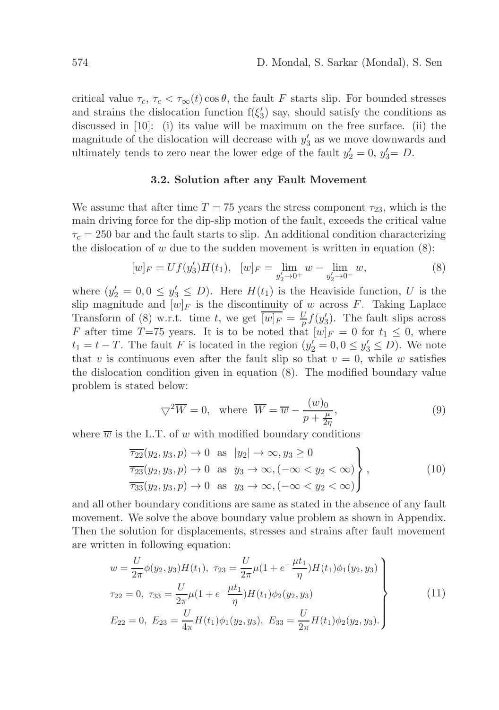critical value  $\tau_c$ ,  $\tau_c < \tau_\infty(t) \cos \theta$ , the fault F starts slip. For bounded stresses and strains the dislocation function  $f(\xi_3')$  say, should satisfy the conditions as discussed in [10]: (i) its value will be maximum on the free surface. (ii) the magnitude of the dislocation will decrease with  $y'_3$  as we move downwards and ultimately tends to zero near the lower edge of the fault  $y'_2 = 0$ ,  $y'_3 = D$ .

## 3.2. Solution after any Fault Movement

We assume that after time  $T = 75$  years the stress component  $\tau_{23}$ , which is the main driving force for the dip-slip motion of the fault, exceeds the critical value  $\tau_c = 250$  bar and the fault starts to slip. An additional condition characterizing the dislocation of  $w$  due to the sudden movement is written in equation  $(8)$ :

$$
[w]_F = Uf(y_3')H(t_1), \quad [w]_F = \lim_{y_2' \to 0^+} w - \lim_{y_2' \to 0^-} w,\tag{8}
$$

where  $(y'_2 = 0, 0 \le y'_3 \le D)$ . Here  $H(t_1)$  is the Heaviside function, U is the slip magnitude and  $[w]_F$  is the discontinuity of w across F. Taking Laplace Transform of (8) w.r.t. time t, we get  $\overline{[w]_F} = \frac{U}{p} f(y_3')$ . The fault slips across F after time T=75 years. It is to be noted that  $[w]_F = 0$  for  $t_1 \leq 0$ , where  $t_1 = t - T$ . The fault F is located in the region  $(y'_2 = 0, 0 \le y'_3 \le D)$ . We note that v is continuous even after the fault slip so that  $v = 0$ , while w satisfies the dislocation condition given in equation (8). The modified boundary value problem is stated below:

$$
\nabla^2 \overline{W} = 0, \text{ where } \overline{W} = \overline{w} - \frac{(w)_0}{p + \frac{\mu}{2\eta}}, \tag{9}
$$

where  $\overline{w}$  is the L.T. of w with modified boundary conditions

$$
\frac{1}{722}(y_2, y_3, p) \to 0 \text{ as } |y_2| \to \infty, y_3 \ge 0
$$
  
\n
$$
\frac{1}{723}(y_2, y_3, p) \to 0 \text{ as } y_3 \to \infty, (-\infty < y_2 < \infty)
$$
  
\n
$$
\frac{1}{733}(y_2, y_3, p) \to 0 \text{ as } y_3 \to \infty, (-\infty < y_2 < \infty)
$$
\n(10)

and all other boundary conditions are same as stated in the absence of any fault movement. We solve the above boundary value problem as shown in Appendix. Then the solution for displacements, stresses and strains after fault movement are written in following equation:

$$
w = \frac{U}{2\pi} \phi(y_2, y_3) H(t_1), \ \tau_{23} = \frac{U}{2\pi} \mu (1 + e^{-\frac{\mu t_1}{\eta}}) H(t_1) \phi_1(y_2, y_3)
$$
  
\n
$$
\tau_{22} = 0, \ \tau_{33} = \frac{U}{2\pi} \mu (1 + e^{-\frac{\mu t_1}{\eta}}) H(t_1) \phi_2(y_2, y_3)
$$
  
\n
$$
E_{22} = 0, \ E_{23} = \frac{U}{4\pi} H(t_1) \phi_1(y_2, y_3), \ E_{33} = \frac{U}{2\pi} H(t_1) \phi_2(y_2, y_3).
$$
\n(11)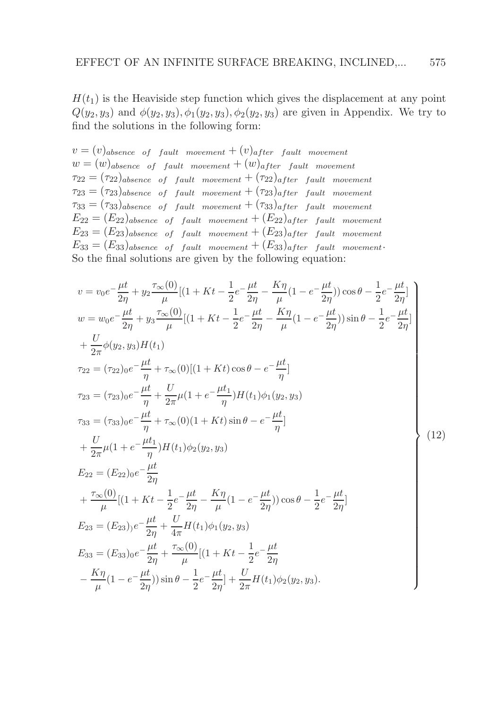$H(t_1)$  is the Heaviside step function which gives the displacement at any point  $Q(y_2, y_3)$  and  $\phi(y_2, y_3), \phi_1(y_2, y_3), \phi_2(y_2, y_3)$  are given in Appendix. We try to find the solutions in the following form:

 $v = (v)_{absence}$  of fault movement  $+(v)_{after}$  fault movement  $w = (w)_{absence}$  of fault movement  $+(w)_{after}$  fault movement  $\tau_{22} = (\tau_{22})_{absence}$  of fault movement  $+(\tau_{22})_{after}$  fault movement  $\tau_{23} = (\tau_{23})_{absence}$  of fault movement  $+(\tau_{23})_{after}$  fault movement  $\tau_{33} = (\tau_{33})_{ab\text{gence of fault movement}} + (\tau_{33})_{after}$  fault movement  $E_{22} = (E_{22})_{absence}$  of fault movement  $+(E_{22})_{after}$  fault movement  $E_{23} = (E_{23})_{ab\text{gence of fault movement}} + (E_{23})_{after}$  fault movement  $E_{33} = (E_{33})_{ab \text{gence of fault movement}} + (E_{33})_{after}$  fault movement. So the final solutions are given by the following equation:

$$
v = v_0 e^{-\frac{\mu t}{2\eta}} + y_2 \frac{\tau_{\infty}(0)}{\mu} [(1 + Kt - \frac{1}{2}e^{-\frac{\mu t}{2\eta}} - \frac{K\eta}{\mu}(1 - e^{-\frac{\mu t}{2\eta}}))\cos\theta - \frac{1}{2}e^{-\frac{\mu t}{2\eta}}]
$$
  
\n
$$
w = w_0 e^{-\frac{\mu t}{2\eta}} + y_3 \frac{\tau_{\infty}(0)}{\mu} [(1 + Kt - \frac{1}{2}e^{-\frac{\mu t}{2\eta}} - \frac{K\eta}{\mu}(1 - e^{-\frac{\mu t}{2\eta}}))\sin\theta - \frac{1}{2}e^{-\frac{\mu t}{2\eta}}]
$$
  
\n
$$
+ \frac{U}{2\pi}\phi(y_2, y_3)H(t_1)
$$
  
\n
$$
\tau_{22} = (\tau_{22})_0 e^{-\frac{\mu t}{\eta}} + \tau_{\infty}(0)[(1 + Kt)\cos\theta - e^{-\frac{\mu t}{\eta}}]
$$
  
\n
$$
\tau_{23} = (\tau_{33})_0 e^{-\frac{\mu t}{\eta}} + \frac{U}{2\pi}\mu(1 + e^{-\frac{\mu t_1}{\eta}})H(t_1)\phi_1(y_2, y_3)
$$
  
\n
$$
\tau_{33} = (\tau_{33})_0 e^{-\frac{\mu t}{\eta}} + \tau_{\infty}(0)(1 + Kt)\sin\theta - e^{-\frac{\mu t}{\eta}}]
$$
  
\n
$$
+ \frac{U}{2\pi}\mu(1 + e^{-\frac{\mu t_1}{\eta}})H(t_1)\phi_2(y_2, y_3)
$$
  
\n
$$
E_{22} = (E_{22})_0 e^{-\frac{\mu t}{2\eta}}
$$
  
\n
$$
+ \frac{\tau_{\infty}(0)}{\mu}[(1 + Kt - \frac{1}{2}e^{-\frac{\mu t}{2\eta}} - \frac{K\eta}{\mu}(1 - e^{-\frac{\mu t}{2\eta}}))\cos\theta - \frac{1}{2}e^{-\frac{\mu t}{2\eta}}]
$$
  
\n
$$
E_{23} = (E_{23})_0 e^{-\frac{\mu t}{2\eta}} + \frac{U}{4\pi}H(t_1)\phi_1(y_2, y_3)
$$
  
\n
$$
E_{33} = (E
$$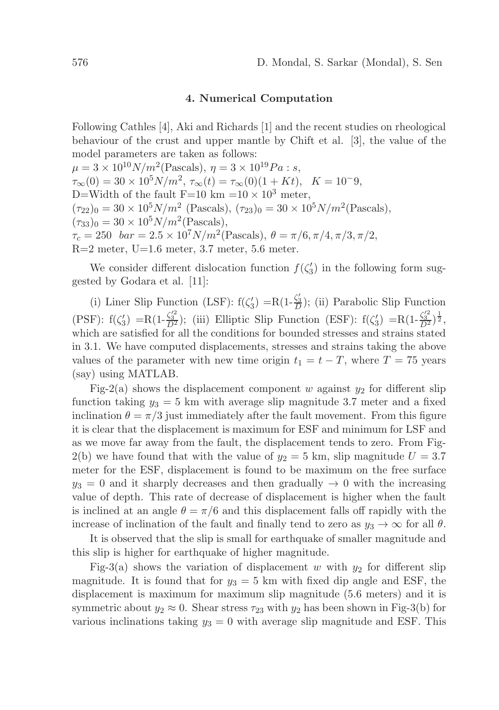## 4. Numerical Computation

Following Cathles [4], Aki and Richards [1] and the recent studies on rheological behaviour of the crust and upper mantle by Chift et al. [3], the value of the model parameters are taken as follows:

 $\mu = 3 \times 10^{10} N/m^2$ (Pascals),  $\eta = 3 \times 10^{19} Pa$ : s,  $\tau_{\infty}(0) = 30 \times 10^5 N/m^2$ ,  $\tau_{\infty}(t) = \tau_{\infty}(0)(1 + Kt)$ ,  $K = 10^{-}9$ , D=Width of the fault F=10 km =10  $\times$  10<sup>3</sup> meter,  $(\tau_{22})_0 = 30 \times 10^5 N/m^2$  (Pascals),  $(\tau_{23})_0 = 30 \times 10^5 N/m^2$  (Pascals),  $(\tau_{33})_0 = 30 \times 10^5 N/m^2$  (Pascals),  $\tau_c = 250$  bar =  $2.5 \times 10^7 N/m^2$ (Pascals),  $\theta = \pi/6, \pi/4, \pi/3, \pi/2$ ,  $R=2$  meter,  $U=1.6$  meter, 3.7 meter, 5.6 meter.

We consider different dislocation function  $f(\zeta_3')$  in the following form suggested by Godara et al. [11]:

(i) Liner Slip Function (LSF):  $f(\zeta_3') = R(1-\frac{\zeta_3'}{D})$ ; (ii) Parabolic Slip Function (PSF):  $f(\zeta_3') = R(1-\frac{\zeta_3'^2}{D^2})$ ; (iii) Elliptic Slip Function (ESF):  $f(\zeta_3') = R(1-\frac{\zeta_3'^2}{D^2})^{\frac{1}{2}}$ , which are satisfied for all the conditions for bounded stresses and strains stated in 3.1. We have computed displacements, stresses and strains taking the above values of the parameter with new time origin  $t_1 = t - T$ , where  $T = 75$  years (say) using MATLAB.

Fig-2(a) shows the displacement component w against  $y_2$  for different slip function taking  $y_3 = 5$  km with average slip magnitude 3.7 meter and a fixed inclination  $\theta = \pi/3$  just immediately after the fault movement. From this figure it is clear that the displacement is maximum for ESF and minimum for LSF and as we move far away from the fault, the displacement tends to zero. From Fig-2(b) we have found that with the value of  $y_2 = 5$  km, slip magnitude  $U = 3.7$ meter for the ESF, displacement is found to be maximum on the free surface  $y_3 = 0$  and it sharply decreases and then gradually  $\rightarrow 0$  with the increasing value of depth. This rate of decrease of displacement is higher when the fault is inclined at an angle  $\theta = \pi/6$  and this displacement falls off rapidly with the increase of inclination of the fault and finally tend to zero as  $y_3 \to \infty$  for all  $\theta$ .

It is observed that the slip is small for earthquake of smaller magnitude and this slip is higher for earthquake of higher magnitude.

Fig-3(a) shows the variation of displacement w with  $y_2$  for different slip magnitude. It is found that for  $y_3 = 5$  km with fixed dip angle and ESF, the displacement is maximum for maximum slip magnitude (5.6 meters) and it is symmetric about  $y_2 \approx 0$ . Shear stress  $\tau_{23}$  with  $y_2$  has been shown in Fig-3(b) for various inclinations taking  $y_3 = 0$  with average slip magnitude and ESF. This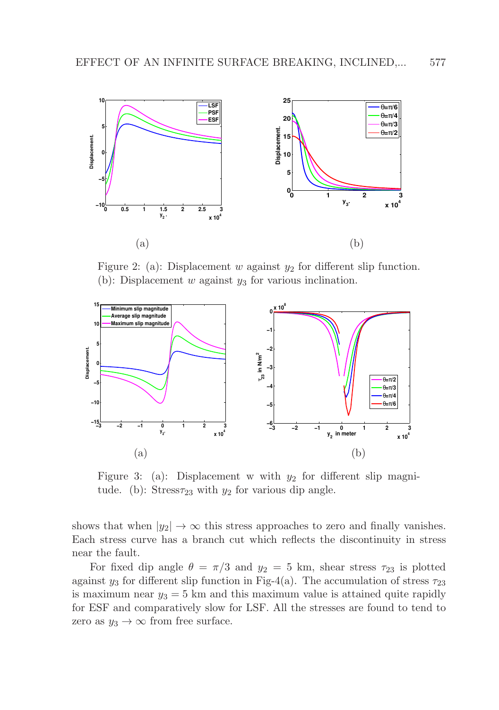

Figure 2: (a): Displacement w against  $y_2$  for different slip function. (b): Displacement w against  $y_3$  for various inclination.



Figure 3: (a): Displacement w with  $y_2$  for different slip magnitude. (b): Stress $\tau_{23}$  with  $y_2$  for various dip angle.

shows that when  $|y_2| \to \infty$  this stress approaches to zero and finally vanishes. Each stress curve has a branch cut which reflects the discontinuity in stress near the fault.

For fixed dip angle  $\theta = \pi/3$  and  $y_2 = 5$  km, shear stress  $\tau_{23}$  is plotted against  $y_3$  for different slip function in Fig-4(a). The accumulation of stress  $\tau_{23}$ is maximum near  $y_3 = 5$  km and this maximum value is attained quite rapidly for ESF and comparatively slow for LSF. All the stresses are found to tend to zero as  $y_3 \to \infty$  from free surface.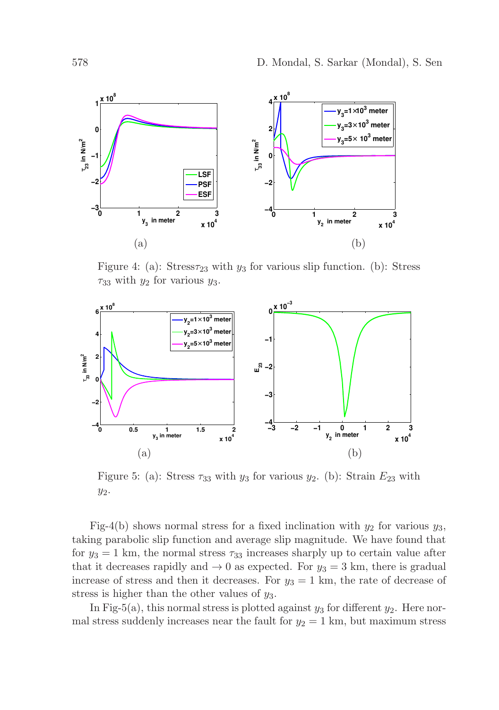

Figure 4: (a): Stress $\tau_{23}$  with  $y_3$  for various slip function. (b): Stress  $\tau_{33}$  with  $y_2$  for various  $y_3$ .



Figure 5: (a): Stress  $\tau_{33}$  with  $y_3$  for various  $y_2$ . (b): Strain  $E_{23}$  with  $y_2$ .

Fig-4(b) shows normal stress for a fixed inclination with  $y_2$  for various  $y_3$ , taking parabolic slip function and average slip magnitude. We have found that for  $y_3 = 1$  km, the normal stress  $\tau_{33}$  increases sharply up to certain value after that it decreases rapidly and  $\rightarrow 0$  as expected. For  $y_3 = 3$  km, there is gradual increase of stress and then it decreases. For  $y_3 = 1$  km, the rate of decrease of stress is higher than the other values of  $y_3$ .

In Fig-5(a), this normal stress is plotted against  $y_3$  for different  $y_2$ . Here normal stress suddenly increases near the fault for  $y_2 = 1$  km, but maximum stress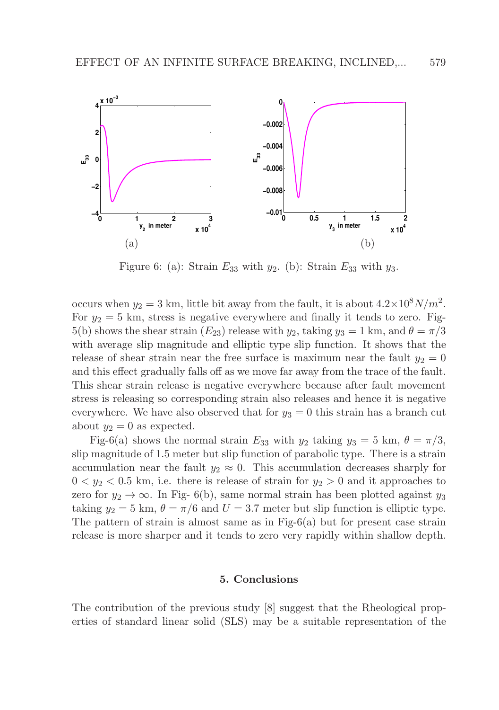

Figure 6: (a): Strain  $E_{33}$  with  $y_2$ . (b): Strain  $E_{33}$  with  $y_3$ .

occurs when  $y_2 = 3$  km, little bit away from the fault, it is about  $4.2 \times 10^8 N/m^2$ . For  $y_2 = 5$  km, stress is negative everywhere and finally it tends to zero. Fig-5(b) shows the shear strain  $(E_{23})$  release with  $y_2$ , taking  $y_3 = 1$  km, and  $\theta = \pi/3$ with average slip magnitude and elliptic type slip function. It shows that the release of shear strain near the free surface is maximum near the fault  $y_2 = 0$ and this effect gradually falls off as we move far away from the trace of the fault. This shear strain release is negative everywhere because after fault movement stress is releasing so corresponding strain also releases and hence it is negative everywhere. We have also observed that for  $y_3 = 0$  this strain has a branch cut about  $y_2 = 0$  as expected.

Fig-6(a) shows the normal strain  $E_{33}$  with  $y_2$  taking  $y_3 = 5$  km,  $\theta = \pi/3$ , slip magnitude of 1.5 meter but slip function of parabolic type. There is a strain accumulation near the fault  $y_2 \approx 0$ . This accumulation decreases sharply for  $0 < y_2 < 0.5$  km, i.e. there is release of strain for  $y_2 > 0$  and it approaches to zero for  $y_2 \to \infty$ . In Fig- 6(b), same normal strain has been plotted against  $y_3$ taking  $y_2 = 5$  km,  $\theta = \pi/6$  and  $U = 3.7$  meter but slip function is elliptic type. The pattern of strain is almost same as in Fig- $6(a)$  but for present case strain release is more sharper and it tends to zero very rapidly within shallow depth.

#### 5. Conclusions

The contribution of the previous study [8] suggest that the Rheological properties of standard linear solid (SLS) may be a suitable representation of the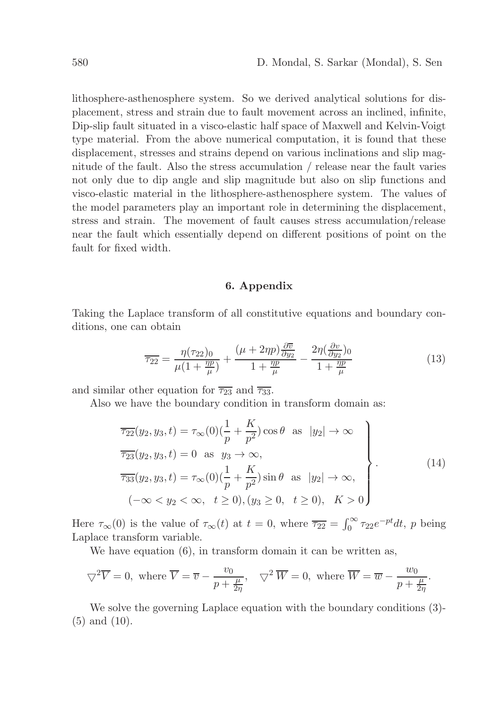lithosphere-asthenosphere system. So we derived analytical solutions for displacement, stress and strain due to fault movement across an inclined, infinite, Dip-slip fault situated in a visco-elastic half space of Maxwell and Kelvin-Voigt type material. From the above numerical computation, it is found that these displacement, stresses and strains depend on various inclinations and slip magnitude of the fault. Also the stress accumulation / release near the fault varies not only due to dip angle and slip magnitude but also on slip functions and visco-elastic material in the lithosphere-asthenosphere system. The values of the model parameters play an important role in determining the displacement, stress and strain. The movement of fault causes stress accumulation/release near the fault which essentially depend on different positions of point on the fault for fixed width.

## 6. Appendix

Taking the Laplace transform of all constitutive equations and boundary conditions, one can obtain

$$
\overline{\tau_{22}} = \frac{\eta(\tau_{22})_0}{\mu(1 + \frac{\eta p}{\mu})} + \frac{(\mu + 2\eta p)\frac{\partial \overline{v}}{\partial y_2}}{1 + \frac{\eta p}{\mu}} - \frac{2\eta(\frac{\partial v}{\partial y_2})_0}{1 + \frac{\eta p}{\mu}}
$$
(13)

and similar other equation for  $\overline{\tau_{23}}$  and  $\overline{\tau_{33}}$ .

Also we have the boundary condition in transform domain as:

$$
\overline{\tau_{22}}(y_2, y_3, t) = \tau_{\infty}(0) \left(\frac{1}{p} + \frac{K}{p^2}\right) \cos \theta \text{ as } |y_2| \to \infty
$$
\n
$$
\overline{\tau_{23}}(y_2, y_3, t) = 0 \text{ as } y_3 \to \infty,
$$
\n
$$
\overline{\tau_{33}}(y_2, y_3, t) = \tau_{\infty}(0) \left(\frac{1}{p} + \frac{K}{p^2}\right) \sin \theta \text{ as } |y_2| \to \infty,
$$
\n
$$
(-\infty < y_2 < \infty, t \ge 0), (y_3 \ge 0, t \ge 0), K > 0
$$
\n(14)

Here  $\tau_{\infty}(0)$  is the value of  $\tau_{\infty}(t)$  at  $t=0$ , where  $\overline{\tau_{22}} = \int_0^{\infty} \tau_{22} e^{-pt} dt$ , p being Laplace transform variable.

We have equation  $(6)$ , in transform domain it can be written as,

$$
\nabla^2 \overline{V} = 0
$$
, where  $\overline{V} = \overline{v} - \frac{v_0}{p + \frac{\mu}{2\eta}}$ ,  $\nabla^2 \overline{W} = 0$ , where  $\overline{W} = \overline{w} - \frac{w_0}{p + \frac{\mu}{2\eta}}$ .

We solve the governing Laplace equation with the boundary conditions (3)- (5) and (10).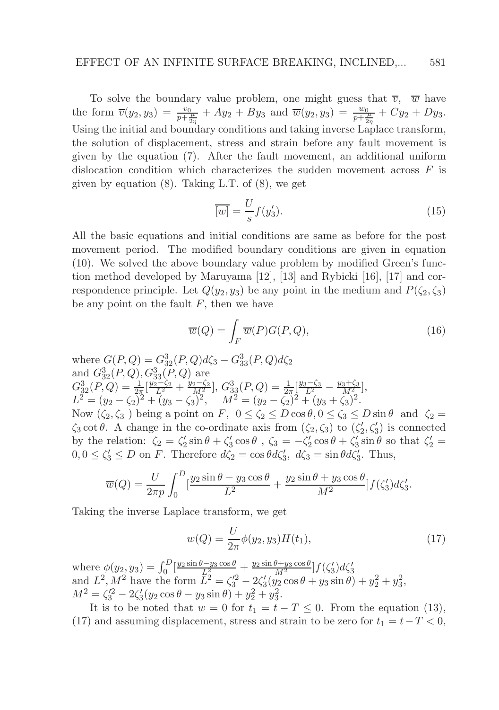To solve the boundary value problem, one might guess that  $\overline{v}$ ,  $\overline{w}$  have the form  $\overline{v}(y_2, y_3) = \frac{v_0}{p + \frac{\mu}{2\eta}} + Ay_2 + By_3$  and  $\overline{w}(y_2, y_3) = \frac{w_0}{p + \frac{\mu}{2\eta}} + Cy_2 + Dy_3$ . Using the initial and boundary conditions and taking inverse Laplace transform, the solution of displacement, stress and strain before any fault movement is given by the equation (7). After the fault movement, an additional uniform dislocation condition which characterizes the sudden movement across  $F$  is given by equation (8). Taking L.T. of (8), we get

$$
\overline{[w]} = \frac{U}{s} f(y_3').
$$
\n(15)

All the basic equations and initial conditions are same as before for the post movement period. The modified boundary conditions are given in equation (10). We solved the above boundary value problem by modified Green's function method developed by Maruyama [12], [13] and Rybicki [16], [17] and correspondence principle. Let  $Q(y_2, y_3)$  be any point in the medium and  $P(\zeta_2, \zeta_3)$ be any point on the fault  $F$ , then we have

$$
\overline{w}(Q) = \int_{F} \overline{w}(P)G(P,Q),\tag{16}
$$

where  $G(P,Q) = G_{32}^3(P,Q)d\zeta_3 - G_{33}^3(P,Q)d\zeta_2$ and  $G_{32}^3(P,Q), G_{33}^3(P,Q)$  are  $G_{32}^3(P,Q) = \frac{1}{2\pi} \left[ \frac{y_2-\zeta_2}{L^2} + \frac{y_2-\zeta_2}{M^2} \right], G_{33}^3(P,Q) = \frac{1}{2\pi} \left[ \frac{y_3-\zeta_3}{L^2} - \frac{y_3+\zeta_3}{M^2} \right],$  $L^2 = (y_2 - \zeta_2)^2 + (y_3 - \zeta_3)^2$ ,  $M^2 = (y_2 - \zeta_2)^2 + (y_3 + \zeta_3)^2$ . Now  $(\zeta_2, \zeta_3)$  being a point on F,  $0 \le \zeta_2 \le D \cos \theta$ ,  $0 \le \zeta_3 \le D \sin \theta$  and  $\zeta_2 =$  $\zeta_3 \cot \theta$ . A change in the co-ordinate axis from  $(\zeta_2, \zeta_3)$  to  $(\zeta'_2, \zeta'_3)$  is connected by the relation:  $\zeta_2 = \zeta_2' \sin \theta + \zeta_3' \cos \theta$ ,  $\zeta_3 = -\zeta_2' \cos \theta + \zeta_3' \sin \theta$  so that  $\zeta_2' =$  $0, 0 \le \zeta'_3 \le D$  on F. Therefore  $d\zeta_2 = \cos \theta d\zeta'_3$ ,  $d\zeta_3 = \sin \theta d\zeta'_3$ . Thus,

$$
\overline{w}(Q) = \frac{U}{2\pi p} \int_0^D \left[ \frac{y_2 \sin \theta - y_3 \cos \theta}{L^2} + \frac{y_2 \sin \theta + y_3 \cos \theta}{M^2} \right] f(\zeta_3') d\zeta_3'.
$$

Taking the inverse Laplace transform, we get

$$
w(Q) = \frac{U}{2\pi} \phi(y_2, y_3) H(t_1), \tag{17}
$$

where  $\phi(y_2, y_3) = \int_0^D \left[ \frac{y_2 \sin \theta - y_3 \cos \theta}{L_2^2} + \frac{y_2 \sin \theta + y_3 \cos \theta}{M^2} \right] f(\zeta_3) d\zeta_3'$ and  $L^2$ ,  $M^2$  have the form  $\tilde{L}^2 = \zeta_3'^2 - 2\zeta_3'(\tilde{y}_2 \cos \theta + y_3 \sin \theta) + y_2^2 + y_3^2$ ,  $M^2 = \zeta_3^2 - 2\zeta_3'(y_2\cos\theta - y_3\sin\theta) + y_2^2 + y_3^2.$ 

It is to be noted that  $w = 0$  for  $t_1 = t - T \leq 0$ . From the equation (13), (17) and assuming displacement, stress and strain to be zero for  $t_1 = t - T < 0$ ,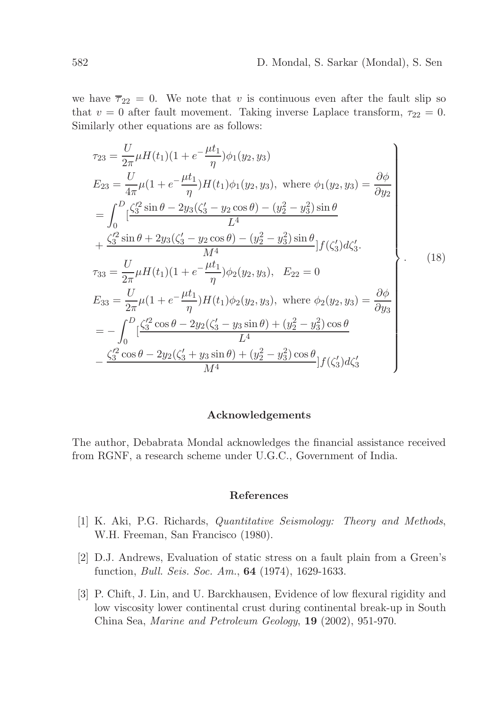we have  $\overline{\tau}_{22} = 0$ . We note that v is continuous even after the fault slip so that  $v = 0$  after fault movement. Taking inverse Laplace transform,  $\tau_{22} = 0$ . Similarly other equations are as follows:

$$
\tau_{23} = \frac{U}{2\pi} \mu H(t_1)(1 + e^{-\frac{\mu t_1}{\eta}}) \phi_1(y_2, y_3)
$$
\n
$$
E_{23} = \frac{U}{4\pi} \mu (1 + e^{-\frac{\mu t_1}{\eta}}) H(t_1) \phi_1(y_2, y_3), \text{ where } \phi_1(y_2, y_3) = \frac{\partial \phi}{\partial y_2}
$$
\n
$$
= \int_0^D \left[ \frac{\zeta_3'^2 \sin \theta - 2y_3(\zeta_3' - y_2 \cos \theta) - (y_2^2 - y_3^2) \sin \theta}{L^4} \right.
$$
\n
$$
+ \frac{\zeta_3'^2 \sin \theta + 2y_3(\zeta_3' - y_2 \cos \theta) - (y_2^2 - y_3^2) \sin \theta}{M^4} \Big] f(\zeta_3') d\zeta_3'.
$$
\n
$$
\tau_{33} = \frac{U}{2\pi} \mu H(t_1)(1 + e^{-\frac{\mu t_1}{\eta}}) \phi_2(y_2, y_3), \quad E_{22} = 0
$$
\n
$$
E_{33} = \frac{U}{2\pi} \mu (1 + e^{-\frac{\mu t_1}{\eta}}) H(t_1) \phi_2(y_2, y_3), \text{ where } \phi_2(y_2, y_3) = \frac{\partial \phi}{\partial y_3}
$$
\n
$$
= -\int_0^D \left[ \frac{\zeta_3'^2 \cos \theta - 2y_2(\zeta_3' - y_3 \sin \theta) + (y_2^2 - y_3^2) \cos \theta}{L^4} \right]
$$
\n
$$
- \frac{\zeta_3'^2 \cos \theta - 2y_2(\zeta_3' + y_3 \sin \theta) + (y_2^2 - y_3^2) \cos \theta}{M^4} \Big] f(\zeta_3') d\zeta_3'
$$
\n
$$
(18)
$$

## Acknowledgements

The author, Debabrata Mondal acknowledges the financial assistance received from RGNF, a research scheme under U.G.C., Government of India.

## References

- [1] K. Aki, P.G. Richards, *Quantitative Seismology: Theory and Methods*, W.H. Freeman, San Francisco (1980).
- [2] D.J. Andrews, Evaluation of static stress on a fault plain from a Green's function, *Bull. Seis. Soc. Am.*, 64 (1974), 1629-1633.
- [3] P. Chift, J. Lin, and U. Barckhausen, Evidence of low flexural rigidity and low viscosity lower continental crust during continental break-up in South China Sea, *Marine and Petroleum Geology*, 19 (2002), 951-970.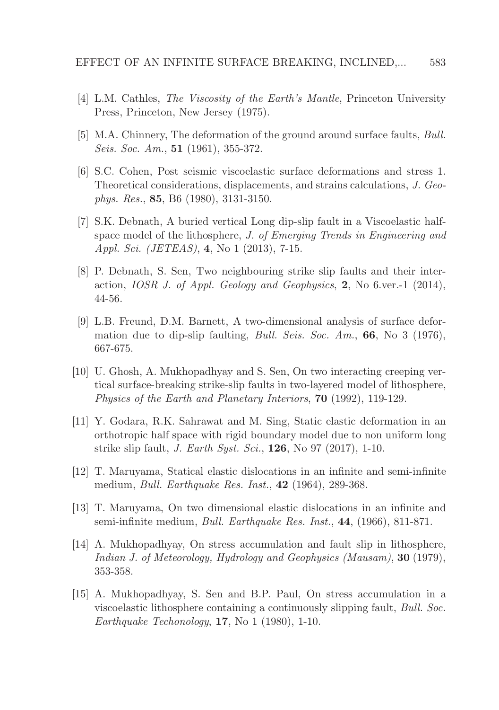- [4] L.M. Cathles, *The Viscosity of the Earth's Mantle*, Princeton University Press, Princeton, New Jersey (1975).
- [5] M.A. Chinnery, The deformation of the ground around surface faults, *Bull. Seis. Soc. Am.*, 51 (1961), 355-372.
- [6] S.C. Cohen, Post seismic viscoelastic surface deformations and stress 1. Theoretical considerations, displacements, and strains calculations, *J. Geophys. Res.*, 85, B6 (1980), 3131-3150.
- [7] S.K. Debnath, A buried vertical Long dip-slip fault in a Viscoelastic halfspace model of the lithosphere, *J. of Emerging Trends in Engineering and Appl. Sci. (JETEAS)*, 4, No 1 (2013), 7-15.
- [8] P. Debnath, S. Sen, Two neighbouring strike slip faults and their interaction, *IOSR J. of Appl. Geology and Geophysics*, 2, No 6.ver.-1 (2014), 44-56.
- [9] L.B. Freund, D.M. Barnett, A two-dimensional analysis of surface deformation due to dip-slip faulting, *Bull. Seis. Soc. Am.*, 66, No 3 (1976), 667-675.
- [10] U. Ghosh, A. Mukhopadhyay and S. Sen, On two interacting creeping vertical surface-breaking strike-slip faults in two-layered model of lithosphere, *Physics of the Earth and Planetary Interiors*, 70 (1992), 119-129.
- [11] Y. Godara, R.K. Sahrawat and M. Sing, Static elastic deformation in an orthotropic half space with rigid boundary model due to non uniform long strike slip fault, *J. Earth Syst. Sci.*, 126, No 97 (2017), 1-10.
- [12] T. Maruyama, Statical elastic dislocations in an infinite and semi-infinite medium, *Bull. Earthquake Res. Inst.*, 42 (1964), 289-368.
- [13] T. Maruyama, On two dimensional elastic dislocations in an infinite and semi-infinite medium, *Bull. Earthquake Res. Inst.*, 44, (1966), 811-871.
- [14] A. Mukhopadhyay, On stress accumulation and fault slip in lithosphere, *Indian J. of Meteorology, Hydrology and Geophysics (Mausam)*, 30 (1979), 353-358.
- [15] A. Mukhopadhyay, S. Sen and B.P. Paul, On stress accumulation in a viscoelastic lithosphere containing a continuously slipping fault, *Bull. Soc. Earthquake Techonology*, 17, No 1 (1980), 1-10.